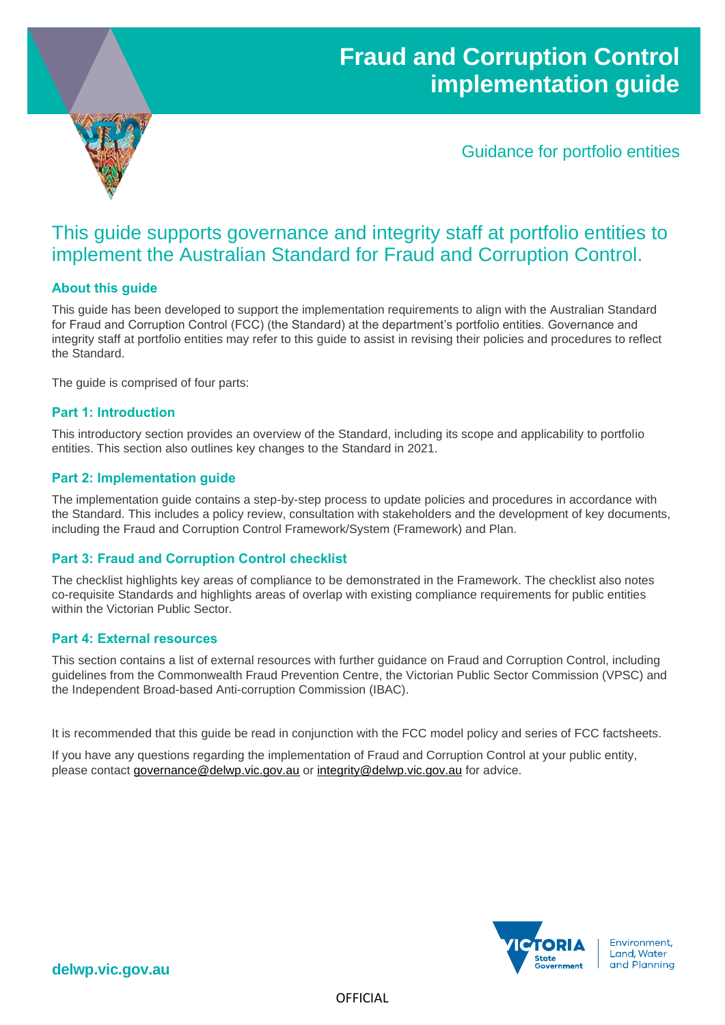# **Fraud and Corruption Control implementation guide**



Guidance for portfolio entities

## This guide supports governance and integrity staff at portfolio entities to implement the Australian Standard for Fraud and Corruption Control.

### **About this guide**

This guide has been developed to support the implementation requirements to align with the Australian Standard for Fraud and Corruption Control (FCC) (the Standard) at the department's portfolio entities. Governance and integrity staff at portfolio entities may refer to this guide to assist in revising their policies and procedures to reflect the Standard.

The guide is comprised of four parts:

### **Part 1: Introduction**

This introductory section provides an overview of the Standard, including its scope and applicability to portfolio entities. This section also outlines key changes to the Standard in 2021.

### **Part 2: Implementation guide**

The implementation guide contains a step-by-step process to update policies and procedures in accordance with the Standard. This includes a policy review, consultation with stakeholders and the development of key documents, including the Fraud and Corruption Control Framework/System (Framework) and Plan.

### **Part 3: Fraud and Corruption Control checklist**

The checklist highlights key areas of compliance to be demonstrated in the Framework. The checklist also notes co-requisite Standards and highlights areas of overlap with existing compliance requirements for public entities within the Victorian Public Sector.

#### **Part 4: External resources**

This section contains a list of external resources with further guidance on Fraud and Corruption Control, including guidelines from the Commonwealth Fraud Prevention Centre, the Victorian Public Sector Commission (VPSC) and the Independent Broad-based Anti-corruption Commission (IBAC).

It is recommended that this guide be read in conjunction with the FCC model policy and series of FCC factsheets.

If you have any questions regarding the implementation of Fraud and Corruption Control at your public entity, please contact [governance@delwp.vic.gov.au](mailto:governance@delwp.vic.gov.au) or [integrity@delwp.vic.gov.au](mailto:integrity@delwp.vic.gov.au) for advice.



**delwp.vic.gov.au**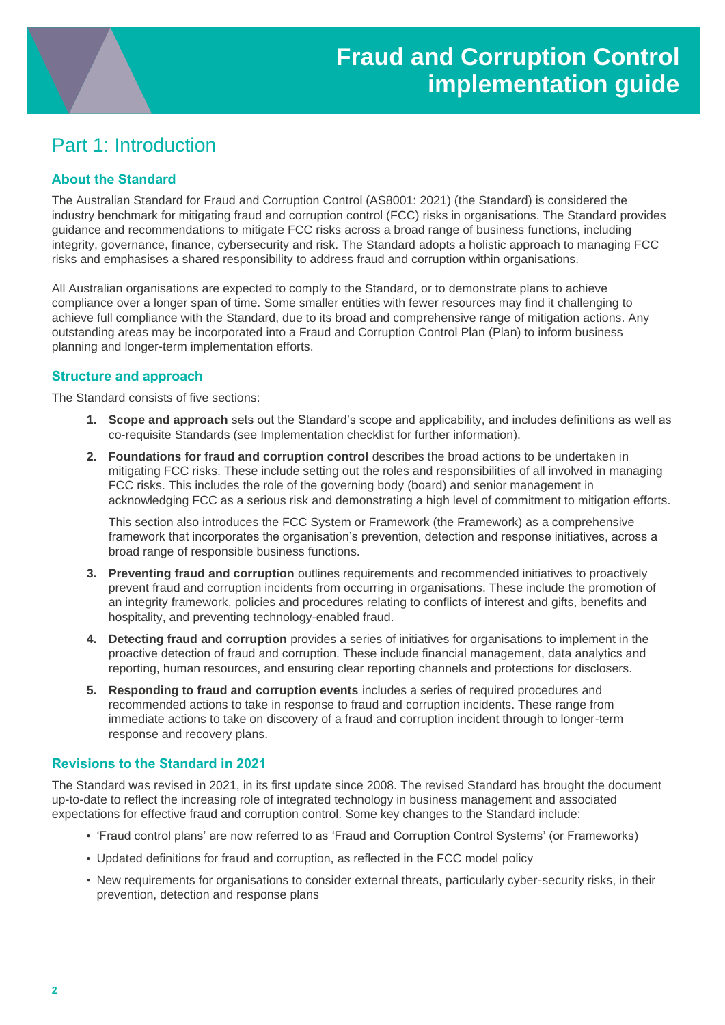## Part 1: Introduction

### **About the Standard**

The Australian Standard for Fraud and Corruption Control (AS8001: 2021) (the Standard) is considered the industry benchmark for mitigating fraud and corruption control (FCC) risks in organisations. The Standard provides guidance and recommendations to mitigate FCC risks across a broad range of business functions, including integrity, governance, finance, cybersecurity and risk. The Standard adopts a holistic approach to managing FCC risks and emphasises a shared responsibility to address fraud and corruption within organisations.

All Australian organisations are expected to comply to the Standard, or to demonstrate plans to achieve compliance over a longer span of time. Some smaller entities with fewer resources may find it challenging to achieve full compliance with the Standard, due to its broad and comprehensive range of mitigation actions. Any outstanding areas may be incorporated into a Fraud and Corruption Control Plan (Plan) to inform business planning and longer-term implementation efforts.

### **Structure and approach**

The Standard consists of five sections:

- **1. Scope and approach** sets out the Standard's scope and applicability, and includes definitions as well as co-requisite Standards (see Implementation checklist for further information).
- **2. Foundations for fraud and corruption control** describes the broad actions to be undertaken in mitigating FCC risks. These include setting out the roles and responsibilities of all involved in managing FCC risks. This includes the role of the governing body (board) and senior management in acknowledging FCC as a serious risk and demonstrating a high level of commitment to mitigation efforts.

This section also introduces the FCC System or Framework (the Framework) as a comprehensive framework that incorporates the organisation's prevention, detection and response initiatives, across a broad range of responsible business functions.

- **3. Preventing fraud and corruption** outlines requirements and recommended initiatives to proactively prevent fraud and corruption incidents from occurring in organisations. These include the promotion of an integrity framework, policies and procedures relating to conflicts of interest and gifts, benefits and hospitality, and preventing technology-enabled fraud.
- **4. Detecting fraud and corruption** provides a series of initiatives for organisations to implement in the proactive detection of fraud and corruption. These include financial management, data analytics and reporting, human resources, and ensuring clear reporting channels and protections for disclosers.
- **5. Responding to fraud and corruption events** includes a series of required procedures and recommended actions to take in response to fraud and corruption incidents. These range from immediate actions to take on discovery of a fraud and corruption incident through to longer-term response and recovery plans.

### **Revisions to the Standard in 2021**

The Standard was revised in 2021, in its first update since 2008. The revised Standard has brought the document up-to-date to reflect the increasing role of integrated technology in business management and associated expectations for effective fraud and corruption control. Some key changes to the Standard include:

- 'Fraud control plans' are now referred to as 'Fraud and Corruption Control Systems' (or Frameworks)
- Updated definitions for fraud and corruption, as reflected in the FCC model policy
- New requirements for organisations to consider external threats, particularly cyber-security risks, in their prevention, detection and response plans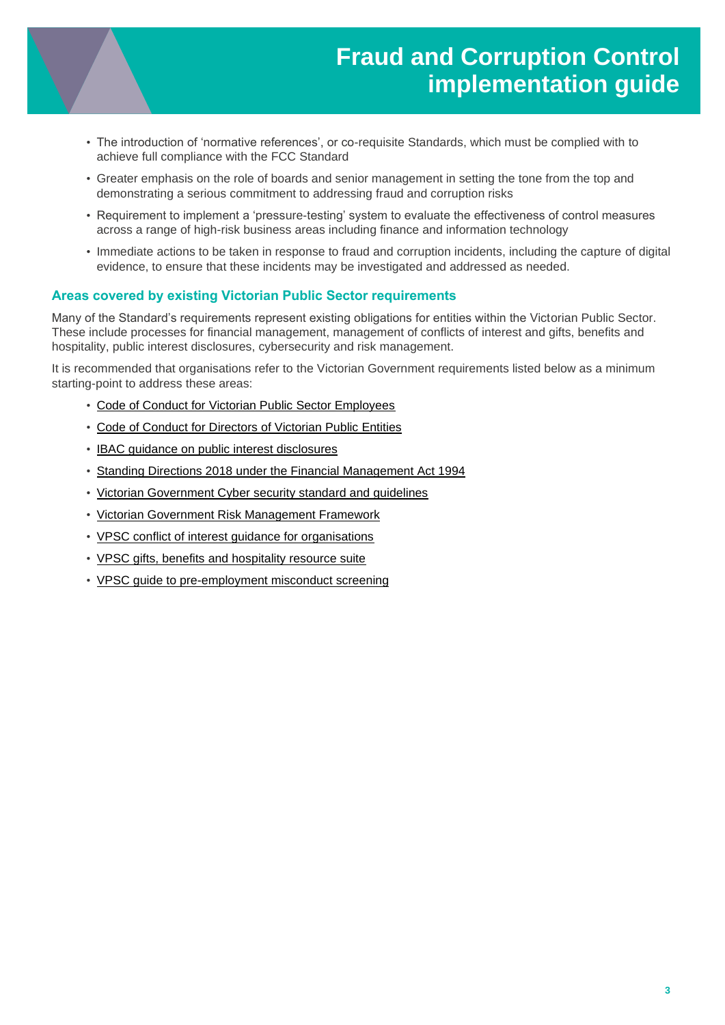

- The introduction of 'normative references', or co-requisite Standards, which must be complied with to achieve full compliance with the FCC Standard
- Greater emphasis on the role of boards and senior management in setting the tone from the top and demonstrating a serious commitment to addressing fraud and corruption risks
- Requirement to implement a 'pressure-testing' system to evaluate the effectiveness of control measures across a range of high-risk business areas including finance and information technology
- Immediate actions to be taken in response to fraud and corruption incidents, including the capture of digital evidence, to ensure that these incidents may be investigated and addressed as needed.

#### **Areas covered by existing Victorian Public Sector requirements**

Many of the Standard's requirements represent existing obligations for entities within the Victorian Public Sector. These include processes for financial management, management of conflicts of interest and gifts, benefits and hospitality, public interest disclosures, cybersecurity and risk management.

It is recommended that organisations refer to the Victorian Government requirements listed below as a minimum starting-point to address these areas:

- [Code of Conduct for Victorian Public Sector Employees](https://vpsc.vic.gov.au/wp-content/uploads/2015/03/VPSC_Code_VPSE_WEB.pdf)
- [Code of Conduct for Directors of Victorian Public Entities](https://vpsc.vic.gov.au/resources/code-of-conduct-for-directors/)
- [IBAC guidance on public interest](https://www.ibac.vic.gov.au/reporting-corruption/public-interest-disclosures) disclosures
- [Standing Directions 2018 under the Financial Management Act 1994](https://www.dtf.vic.gov.au/financial-management-government/standing-directions-2018-under-financial-management-act-1994)
- Victorian Government Cyber [security standard and guidelines](https://www.vic.gov.au/cyber-security-victorian-government)
- [Victorian Government Risk Management Framework](https://www.vmia.vic.gov.au/tools-and-insights/victorian-government-risk-management-framework)
- [VPSC conflict of interest guidance for organisations](https://vpsc.vic.gov.au/resources/conflict-of-interest-guidance-for-organisations/)
- [VPSC gifts, benefits and hospitality resource suite](https://vpsc.vic.gov.au/resources/gifts-benefits-and-hospitality-resource-suite/)
- [VPSC guide to pre-employment misconduct screening](https://vpsc.vic.gov.au/html-resources/guide-to-pre-employment-misconduct-screening-when-hiring-executives-in-public-entities/how-to-screen-for-misconduct/)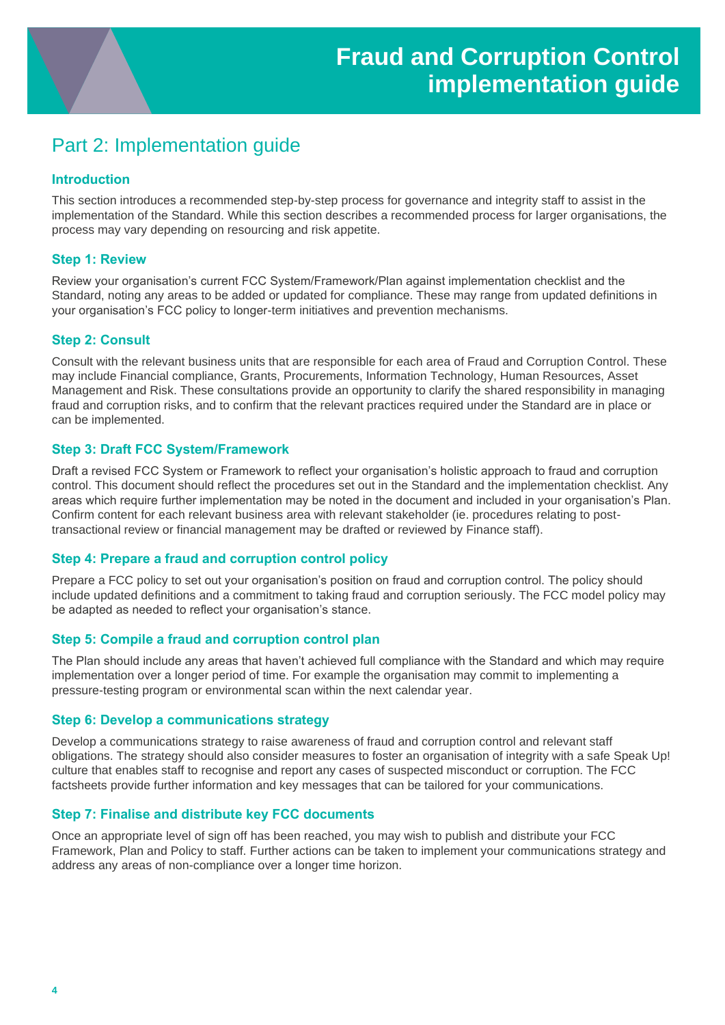## Part 2: Implementation guide

### **Introduction**

This section introduces a recommended step-by-step process for governance and integrity staff to assist in the implementation of the Standard. While this section describes a recommended process for larger organisations, the process may vary depending on resourcing and risk appetite.

### **Step 1: Review**

Review your organisation's current FCC System/Framework/Plan against implementation checklist and the Standard, noting any areas to be added or updated for compliance. These may range from updated definitions in your organisation's FCC policy to longer-term initiatives and prevention mechanisms.

### **Step 2: Consult**

Consult with the relevant business units that are responsible for each area of Fraud and Corruption Control. These may include Financial compliance, Grants, Procurements, Information Technology, Human Resources, Asset Management and Risk. These consultations provide an opportunity to clarify the shared responsibility in managing fraud and corruption risks, and to confirm that the relevant practices required under the Standard are in place or can be implemented.

#### **Step 3: Draft FCC System/Framework**

Draft a revised FCC System or Framework to reflect your organisation's holistic approach to fraud and corruption control. This document should reflect the procedures set out in the Standard and the implementation checklist. Any areas which require further implementation may be noted in the document and included in your organisation's Plan. Confirm content for each relevant business area with relevant stakeholder (ie. procedures relating to posttransactional review or financial management may be drafted or reviewed by Finance staff).

### **Step 4: Prepare a fraud and corruption control policy**

Prepare a FCC policy to set out your organisation's position on fraud and corruption control. The policy should include updated definitions and a commitment to taking fraud and corruption seriously. The FCC model policy may be adapted as needed to reflect your organisation's stance.

#### **Step 5: Compile a fraud and corruption control plan**

The Plan should include any areas that haven't achieved full compliance with the Standard and which may require implementation over a longer period of time. For example the organisation may commit to implementing a pressure-testing program or environmental scan within the next calendar year.

#### **Step 6: Develop a communications strategy**

Develop a communications strategy to raise awareness of fraud and corruption control and relevant staff obligations. The strategy should also consider measures to foster an organisation of integrity with a safe Speak Up! culture that enables staff to recognise and report any cases of suspected misconduct or corruption. The FCC factsheets provide further information and key messages that can be tailored for your communications.

#### **Step 7: Finalise and distribute key FCC documents**

Once an appropriate level of sign off has been reached, you may wish to publish and distribute your FCC Framework, Plan and Policy to staff. Further actions can be taken to implement your communications strategy and address any areas of non-compliance over a longer time horizon.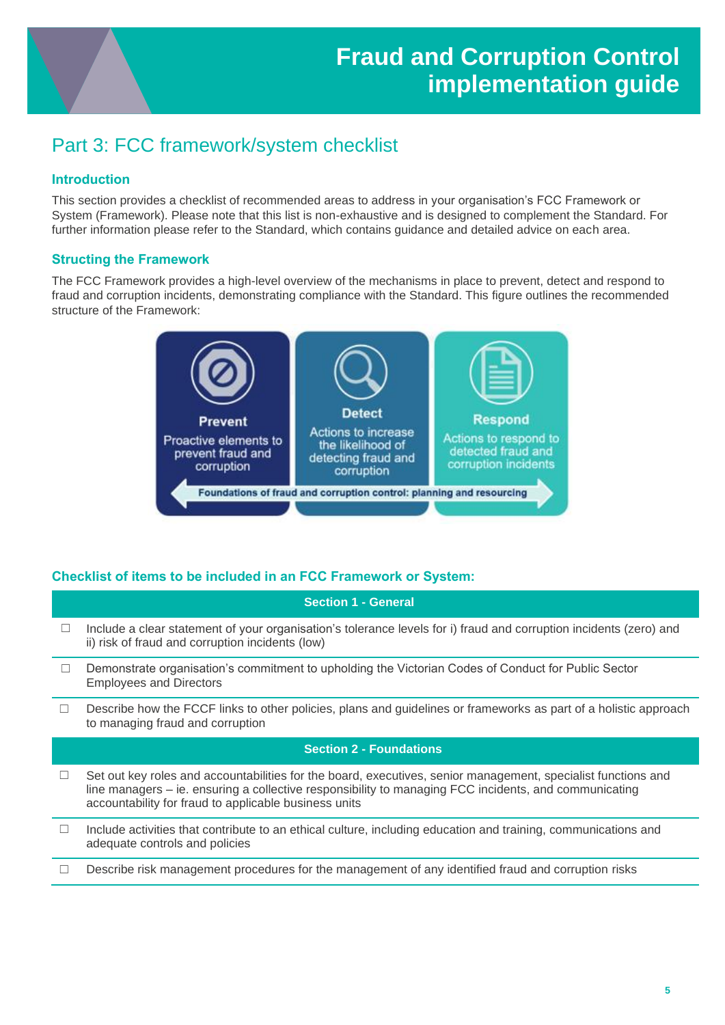## Part 3: FCC framework/system checklist

## **Introduction**

This section provides a checklist of recommended areas to address in your organisation's FCC Framework or System (Framework). Please note that this list is non-exhaustive and is designed to complement the Standard. For further information please refer to the Standard, which contains guidance and detailed advice on each area.

### **Structing the Framework**

The FCC Framework provides a high-level overview of the mechanisms in place to prevent, detect and respond to fraud and corruption incidents, demonstrating compliance with the Standard. This figure outlines the recommended structure of the Framework:



## **Checklist of items to be included in an FCC Framework or System:**

### **Section 1 - General**

- $\Box$  Include a clear statement of your organisation's tolerance levels for i) fraud and corruption incidents (zero) and ii) risk of fraud and corruption incidents (low)
- ☐ Demonstrate organisation's commitment to upholding the Victorian Codes of Conduct for Public Sector Employees and Directors
- $\Box$  Describe how the FCCF links to other policies, plans and guidelines or frameworks as part of a holistic approach to managing fraud and corruption

### **Section 2 - Foundations**

- $\Box$  Set out key roles and accountabilities for the board, executives, senior management, specialist functions and line managers – ie. ensuring a collective responsibility to managing FCC incidents, and communicating accountability for fraud to applicable business units
- $\Box$  Include activities that contribute to an ethical culture, including education and training, communications and adequate controls and policies
- $\Box$  Describe risk management procedures for the management of any identified fraud and corruption risks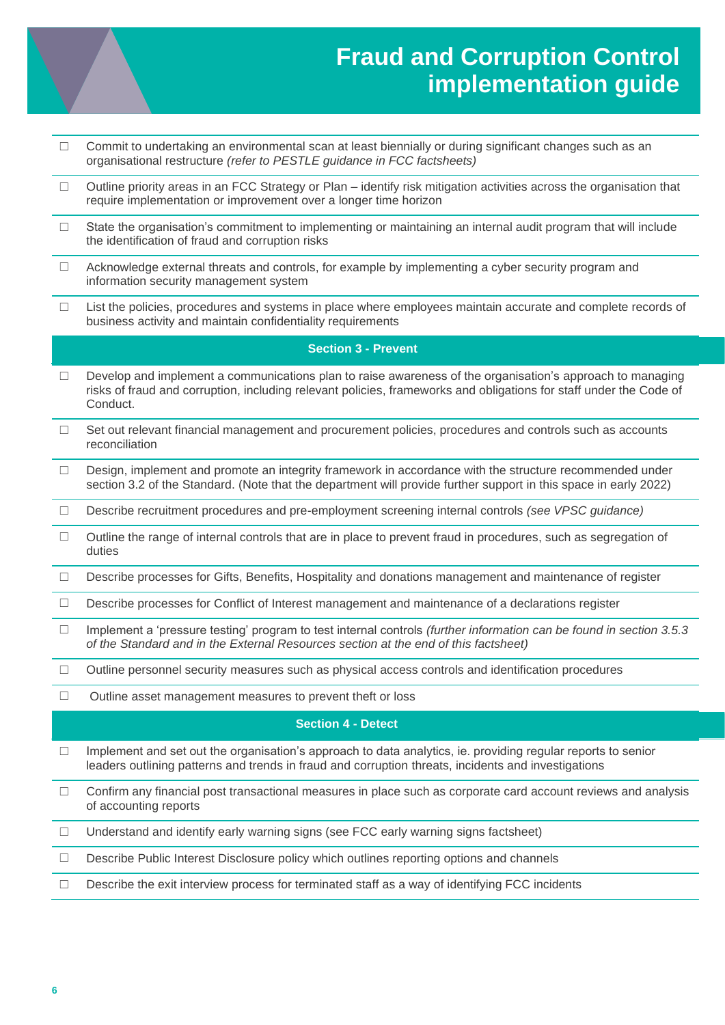

# **Fraud and Corruption Control implementation guide**

- $\Box$  Commit to undertaking an environmental scan at least biennially or during significant changes such as an organisational restructure *(refer to PESTLE guidance in FCC factsheets)*
- ☐ Outline priority areas in an FCC Strategy or Plan identify risk mitigation activities across the organisation that require implementation or improvement over a longer time horizon
- $\Box$  State the organisation's commitment to implementing or maintaining an internal audit program that will include the identification of fraud and corruption risks
- $\Box$  Acknowledge external threats and controls, for example by implementing a cyber security program and information security management system
- ☐ List the policies, procedures and systems in place where employees maintain accurate and complete records of business activity and maintain confidentiality requirements

#### **Section 3 - Prevent**

- ☐ Develop and implement a communications plan to raise awareness of the organisation's approach to managing risks of fraud and corruption, including relevant policies, frameworks and obligations for staff under the Code of Conduct.
- $\Box$  Set out relevant financial management and procurement policies, procedures and controls such as accounts reconciliation
- $\Box$  Design, implement and promote an integrity framework in accordance with the structure recommended under section 3.2 of the Standard. (Note that the department will provide further support in this space in early 2022)
- ☐ Describe recruitment procedures and pre-employment screening internal controls *(see VPSC guidance)*
- ☐ Outline the range of internal controls that are in place to prevent fraud in procedures, such as segregation of duties
- ☐ Describe processes for Gifts, Benefits, Hospitality and donations management and maintenance of register
- ☐ Describe processes for Conflict of Interest management and maintenance of a declarations register
- ☐ Implement a 'pressure testing' program to test internal controls *(further information can be found in section 3.5.3 of the Standard and in the External Resources section at the end of this factsheet)*
- ☐ Outline personnel security measures such as physical access controls and identification procedures
- ☐ Outline asset management measures to prevent theft or loss

#### **Section 4 - Detect**

- ☐ Implement and set out the organisation's approach to data analytics, ie. providing regular reports to senior leaders outlining patterns and trends in fraud and corruption threats, incidents and investigations
- ☐ Confirm any financial post transactional measures in place such as corporate card account reviews and analysis of accounting reports
- $\Box$  Understand and identify early warning signs (see FCC early warning signs factsheet)
- ☐ Describe Public Interest Disclosure policy which outlines reporting options and channels
- $\Box$  Describe the exit interview process for terminated staff as a way of identifying FCC incidents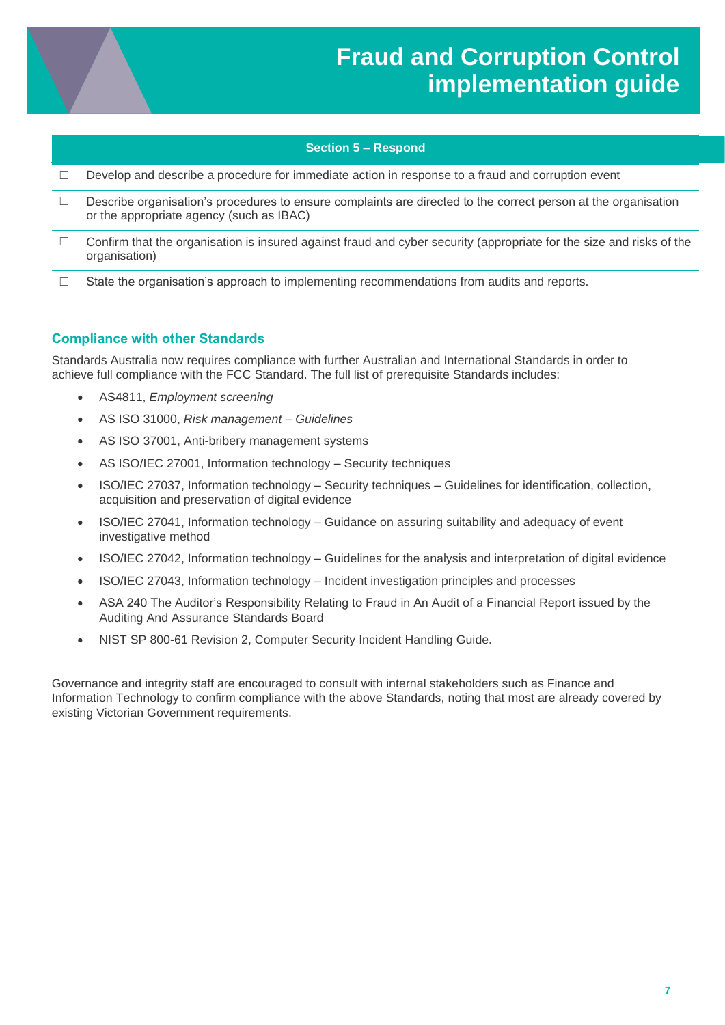

#### **Section 5 – Respond**

- ☐ Develop and describe a procedure for immediate action in response to a fraud and corruption event
- ☐ Describe organisation's procedures to ensure complaints are directed to the correct person at the organisation or the appropriate agency (such as IBAC)
- ☐ Confirm that the organisation is insured against fraud and cyber security (appropriate for the size and risks of the organisation)
- ☐ State the organisation's approach to implementing recommendations from audits and reports.

#### **Compliance with other Standards**

Standards Australia now requires compliance with further Australian and International Standards in order to achieve full compliance with the FCC Standard. The full list of prerequisite Standards includes:

- AS4811, *Employment screening*
- AS ISO 31000, *Risk management – Guidelines*
- AS ISO 37001, Anti-bribery management systems
- AS ISO/IEC 27001, Information technology Security techniques
- ISO/IEC 27037, Information technology Security techniques Guidelines for identification, collection, acquisition and preservation of digital evidence
- ISO/IEC 27041, Information technology Guidance on assuring suitability and adequacy of event investigative method
- ISO/IEC 27042, Information technology Guidelines for the analysis and interpretation of digital evidence
- ISO/IEC 27043, Information technology Incident investigation principles and processes
- ASA 240 The Auditor's Responsibility Relating to Fraud in An Audit of a Financial Report issued by the Auditing And Assurance Standards Board
- NIST SP 800-61 Revision 2, Computer Security Incident Handling Guide.

Governance and integrity staff are encouraged to consult with internal stakeholders such as Finance and Information Technology to confirm compliance with the above Standards, noting that most are already covered by existing Victorian Government requirements.